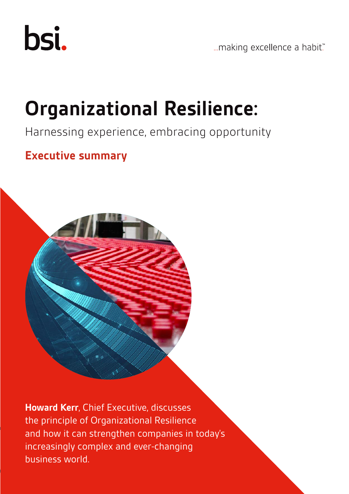

... making excellence a habit."

## **Organizational Resilience:**

### Harnessing experience, embracing opportunity

## **Executive summary**



**Howard Kerr**, Chief Executive, discusses the principle of Organizational Resilience and how it can strengthen companies in today's increasingly complex and ever-changing business world.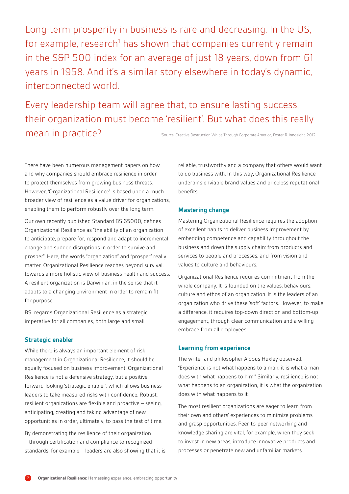Long-term prosperity in business is rare and decreasing. In the US, for example, research<sup>1</sup> has shown that companies currently remain in the S&P 500 index for an average of just 18 years, down from 61 years in 1958. And it's a similar story elsewhere in today's dynamic, interconnected world.

Every leadership team will agree that, to ensure lasting success, their organization must become 'resilient'. But what does this really mean in practice? 1 Source: Creative Destruction Whips Through Corporate America, Foster R. Innosight. 2012

There have been numerous management papers on how and why companies should embrace resilience in order to protect themselves from growing business threats. However, 'Organizational Resilience' is based upon a much broader view of resilience as a value driver for organizations, enabling them to perform robustly over the long term.

Our own recently published Standard BS 65000, defines Organizational Resilience as "the ability of an organization to anticipate, prepare for, respond and adapt to incremental change and sudden disruptions in order to survive and prosper". Here, the words "organization" and "prosper" really matter. Organizational Resilience reaches beyond survival, towards a more holistic view of business health and success. A resilient organization is Darwinian, in the sense that it adapts to a changing environment in order to remain fit for purpose.

BSI regards Organizational Resilience as a strategic imperative for all companies, both large and small.

#### **Strategic enabler**

While there is always an important element of risk management in Organizational Resilience, it should be equally focused on business improvement. Organizational Resilience is not a defensive strategy, but a positive, forward-looking 'strategic enabler', which allows business leaders to take measured risks with confidence. Robust, resilient organizations are flexible and proactive – seeing, anticipating, creating and taking advantage of new opportunities in order, ultimately, to pass the test of time.

By demonstrating the resilience of their organization – through certification and compliance to recognized standards, for example – leaders are also showing that it is reliable, trustworthy and a company that others would want to do business with. In this way, Organizational Resilience underpins enviable brand values and priceless reputational benefits.

#### **Mastering change**

Mastering Organizational Resilience requires the adoption of excellent habits to deliver business improvement by embedding competence and capability throughout the business and down the supply chain: from products and services to people and processes; and from vision and values to culture and behaviours.

Organizational Resilience requires commitment from the whole company. It is founded on the values, behaviours, culture and ethos of an organization. It is the leaders of an organization who drive these 'soft' factors. However, to make a difference, it requires top-down direction and bottom-up engagement, through clear communication and a willing embrace from all employees.

#### **Learning from experience**

The writer and philosopher Aldous Huxley observed, "Experience is not what happens to a man; it is what a man does with what happens to him." Similarly, resilience is not what happens to an organization, it is what the organization does with what happens to it.

The most resilient organizations are eager to learn from their own and others' experiences to minimize problems and grasp opportunities. Peer-to-peer networking and knowledge sharing are vital, for example, when they seek to invest in new areas, introduce innovative products and processes or penetrate new and unfamiliar markets.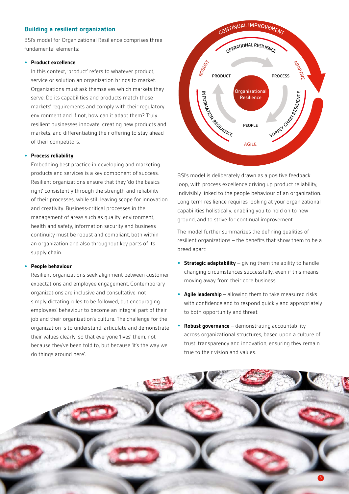#### **Building a resilient organization**

BSI's model for Organizational Resilience comprises three fundamental elements:

#### **• Product excellence**

In this context, 'product' refers to whatever product, service or solution an organization brings to market. Organizations must ask themselves which markets they serve. Do its capabilities and products match those markets' requirements and comply with their regulatory environment and if not, how can it adapt them? Truly resilient businesses innovate, creating new products and markets, and differentiating their offering to stay ahead of their competitors.

#### **• Process reliability**

Embedding best practice in developing and marketing products and services is a key component of success. Resilient organizations ensure that they 'do the basics right' consistently through the strength and reliability of their processes, while still leaving scope for innovation and creativity. Business-critical processes in the management of areas such as quality, environment, health and safety, information security and business continuity must be robust and compliant, both within an organization and also throughout key parts of its supply chain.

#### **• People behaviour**

Resilient organizations seek alignment between customer expectations and employee engagement. Contemporary organizations are inclusive and consultative, not simply dictating rules to be followed, but encouraging employees' behaviour to become an integral part of their job and their organization's culture. The challenge for the organization is to understand, articulate and demonstrate their values clearly, so that everyone 'lives' them, not because they've been told to, but because 'it's the way we do things around here'.



BSI's model is deliberately drawn as a positive feedback loop, with process excellence driving up product reliability, indivisibly linked to the people behaviour of an organization. Long-term resilience requires looking at your organizational capabilities holistically, enabling you to hold on to new ground, and to strive for continual improvement.

The model further summarizes the defining qualities of resilient organizations – the benefits that show them to be a breed apart:

- **• Strategic adaptability** giving them the ability to handle changing circumstances successfully, even if this means moving away from their core business.
- **• Agile leadership** allowing them to take measured risks with confidence and to respond quickly and appropriately to both opportunity and threat.
- **• Robust governance** demonstrating accountability across organizational structures, based upon a culture of trust, transparency and innovation, ensuring they remain true to their vision and values.